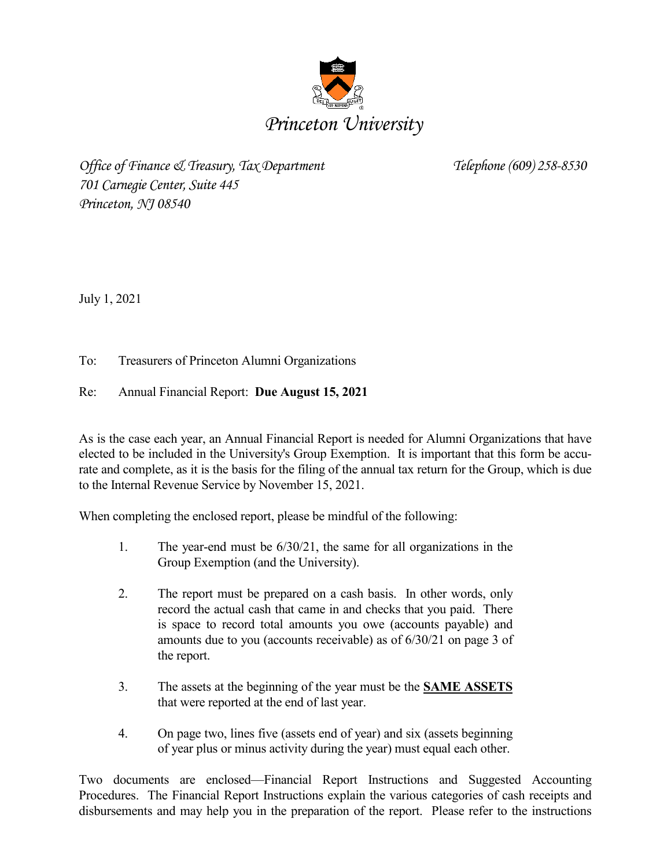

*Office of Finance & Treasury, Tax Department Telephone (609) 258-8530 701 Carnegie Center, Suite 445 Princeton, NJ 08540*

July 1, 2021

To: Treasurers of Princeton Alumni Organizations

## Re: Annual Financial Report: **Due August 15, 2021**

As is the case each year, an Annual Financial Report is needed for Alumni Organizations that have elected to be included in the University's Group Exemption. It is important that this form be accurate and complete, as it is the basis for the filing of the annual tax return for the Group, which is due to the Internal Revenue Service by November 15, 2021.

When completing the enclosed report, please be mindful of the following:

- 1. The year-end must be 6/30/21, the same for all organizations in the Group Exemption (and the University).
- 2. The report must be prepared on a cash basis. In other words, only record the actual cash that came in and checks that you paid. There is space to record total amounts you owe (accounts payable) and amounts due to you (accounts receivable) as of 6/30/21 on page 3 of the report.
- 3. The assets at the beginning of the year must be the **SAME ASSETS** that were reported at the end of last year.
- 4. On page two, lines five (assets end of year) and six (assets beginning of year plus or minus activity during the year) must equal each other.

Two documents are enclosed—Financial Report Instructions and Suggested Accounting Procedures. The Financial Report Instructions explain the various categories of cash receipts and disbursements and may help you in the preparation of the report. Please refer to the instructions